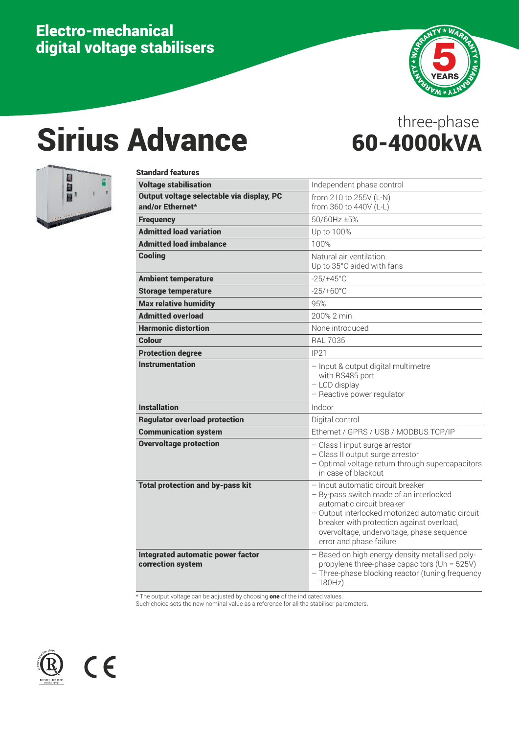## Electro-mechanical digital voltage stabilisers



## Sirius Advance 60-4000kVA

# three-phase



## Standard features

| <b>Voltage stabilisation</b>                                  | Independent phase control                                                                                                                                                                                                                                                          |
|---------------------------------------------------------------|------------------------------------------------------------------------------------------------------------------------------------------------------------------------------------------------------------------------------------------------------------------------------------|
| Output voltage selectable via display, PC<br>and/or Ethernet* | from 210 to 255V (L-N)<br>from 360 to 440V (L-L)                                                                                                                                                                                                                                   |
| <b>Frequency</b>                                              | 50/60Hz ±5%                                                                                                                                                                                                                                                                        |
| <b>Admitted load variation</b>                                | Up to 100%                                                                                                                                                                                                                                                                         |
| <b>Admitted load imbalance</b>                                | 100%                                                                                                                                                                                                                                                                               |
| <b>Cooling</b>                                                | Natural air ventilation.<br>Up to 35°C aided with fans                                                                                                                                                                                                                             |
| <b>Ambient temperature</b>                                    | $-25/+45^{\circ}$ C                                                                                                                                                                                                                                                                |
| <b>Storage temperature</b>                                    | $-25/+60°C$                                                                                                                                                                                                                                                                        |
| <b>Max relative humidity</b>                                  | 95%                                                                                                                                                                                                                                                                                |
| <b>Admitted overload</b>                                      | 200% 2 min.                                                                                                                                                                                                                                                                        |
| <b>Harmonic distortion</b>                                    | None introduced                                                                                                                                                                                                                                                                    |
| Colour                                                        | <b>RAL 7035</b>                                                                                                                                                                                                                                                                    |
| <b>Protection degree</b>                                      | <b>IP21</b>                                                                                                                                                                                                                                                                        |
| Instrumentation                                               | - Input & output digital multimetre<br>with RS485 port<br>- LCD display<br>- Reactive power regulator                                                                                                                                                                              |
| <b>Installation</b>                                           | Indoor                                                                                                                                                                                                                                                                             |
| <b>Regulator overload protection</b>                          | Digital control                                                                                                                                                                                                                                                                    |
| <b>Communication system</b>                                   | Ethernet / GPRS / USB / MODBUS TCP/IP                                                                                                                                                                                                                                              |
| <b>Overvoltage protection</b>                                 | - Class I input surge arrestor<br>- Class II output surge arrestor<br>- Optimal voltage return through supercapacitors<br>in case of blackout                                                                                                                                      |
| <b>Total protection and by-pass kit</b>                       | - Input automatic circuit breaker<br>- By-pass switch made of an interlocked<br>automatic circuit breaker<br>- Output interlocked motorized automatic circuit<br>breaker with protection against overload,<br>overvoltage, undervoltage, phase sequence<br>error and phase failure |
| <b>Integrated automatic power factor</b><br>correction system | - Based on high energy density metallised poly-<br>propylene three-phase capacitors (Un = 525V)<br>- Three-phase blocking reactor (tuning frequency<br>180Hz)                                                                                                                      |

\* The output voltage can be adjusted by choosing one of the indicated values.

Such choice sets the new nominal value as a reference for all the stabiliser parameters.



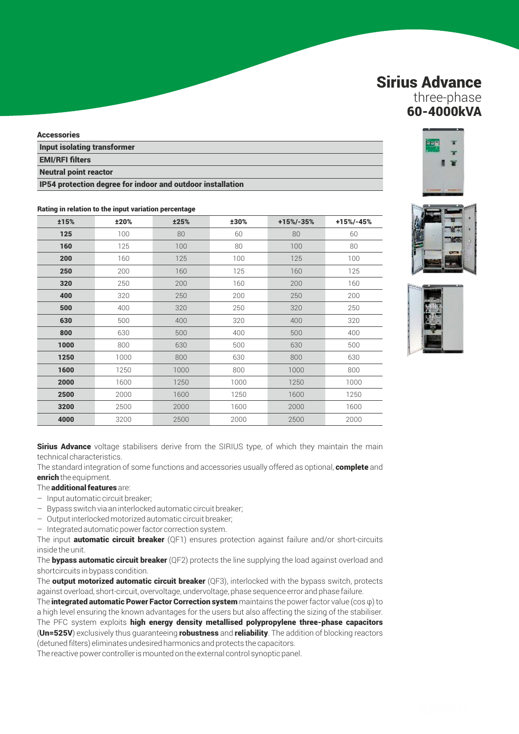### Sirius Advance three-phase

60-4000kVA

#### **Accessories**

Input isolating transformer EMI/RFI filters Neutral point reactor

IP54 protection degree for indoor and outdoor installation

#### ±15% ±20% ±25% ±30% +15%/-35% +15%/-45% **125** 100 80 60 80 60 **160** 125 100 80 100 80 **200** 160 125 100 125 100 **250** 200 160 125 160 125 **320** 250 200 160 200 160 **400** 320 250 200 250 250 200 **500** 400 320 250 320 320 250 **630** 500 400 320 400 320 **800** 630 500 400 500 500 400 **1000** 800 630 500 630 630 500 **1250** 1000 800 630 800 630 630 **1600** 1250 1000 800 1000 800 800 **2000** 1600 1250 1000 1250 1000 1250 **2500** 2000 1600 1250 1600 1600 1250 **3200** 2500 2000 1600 2000 1600 2000 1600 **4000** 3200 2500 2000 2500 2500 2500 2000

#### Rating in relation to the input variation percentage

**Sirius Advance** voltage stabilisers derive from the SIRIUS type, of which they maintain the main technical characteristics.

The standard integration of some functions and accessories usually offered as optional, **complete** and enrich the equipment.

#### The **additional features** are:

- Input automatic circuit breaker;
- Bypass switch via an interlocked automatic circuit breaker;
- Output interlocked motorized automatic circuit breaker;
- Integrated automatic power factor correction system.

The input **automatic circuit breaker** (QF1) ensures protection against failure and/or short-circuits inside the unit.

The **bypass automatic circuit breaker** ( $QF2$ ) protects the line supplying the load against overload and shortcircuits in bypass condition.

The **output motorized automatic circuit breaker** ( $QF3$ ), interlocked with the bypass switch, protects against overload, short-circuit, overvoltage, undervoltage, phase sequence error and phase failure.

The integrated automatic Power Factor Correction system maintains the power factor value ( $\cos \varphi$ ) to a high level ensuring the known advantages for the users but also affecting the sizing of the stabiliser. The PFC system exploits high energy density metallised polypropylene three-phase capacitors (Un=525V) exclusively thus guaranteeing robustness and reliability. The addition of blocking reactors

(detuned filters) eliminates undesired harmonics and protects the capacitors. The reactive power controller is mounted on the external control synoptic panel.

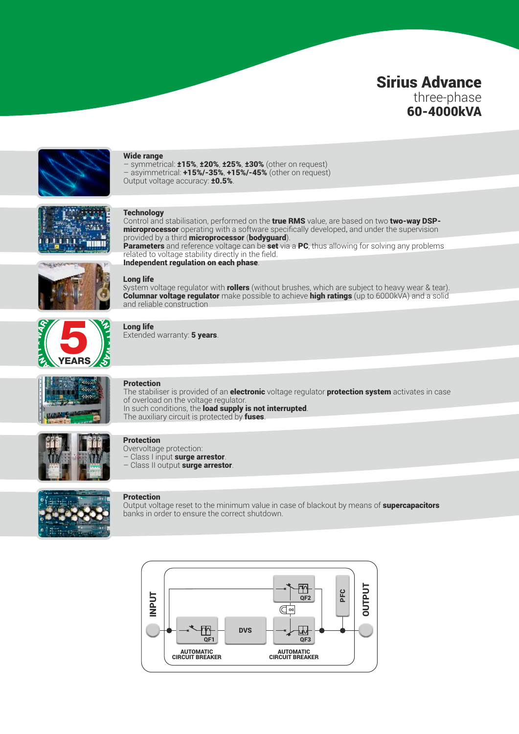## Sirius Advance three-phase 60-4000kVA



#### Wide range

– symmetrical: ±15%, ±20%, ±25%, ±30% (other on request) – asyimmetrical: +15%/-35%, +15%/-45% (other on request) Output voltage accuracy: **±0.5%**.



#### **Technology**

Control and stabilisation, performed on the true RMS value, are based on two two-way DSP**microprocessor** operating with a software specifically developed, and under the supervision provided by a third microprocessor (bodyguard).

Parameters and reference voltage can be set via a PC, thus allowing for solving any problems related to voltage stability directly in the field. Independent regulation on each phase.



#### Long life

System voltage regulator with rollers (without brushes, which are subject to heavy wear & tear). **Columnar voltage regulator** make possible to achieve **high ratings** (up to 6000kVA) and a solid and reliable construction



#### Long life

Extended warranty: 5 years.



#### Protection

The stabiliser is provided of an **electronic** voltage regulator **protection system** activates in case of overload on the voltage regulator. In such conditions, the **load supply is not interrupted**. The auxiliary circuit is protected by fuses.



#### **Protection**

Overvoltage protection: Class I input surge arrestor. – Class II output surge arrestor.



#### **Protection**

Output voltage reset to the minimum value in case of blackout by means of supercapacitors banks in order to ensure the correct shutdown.

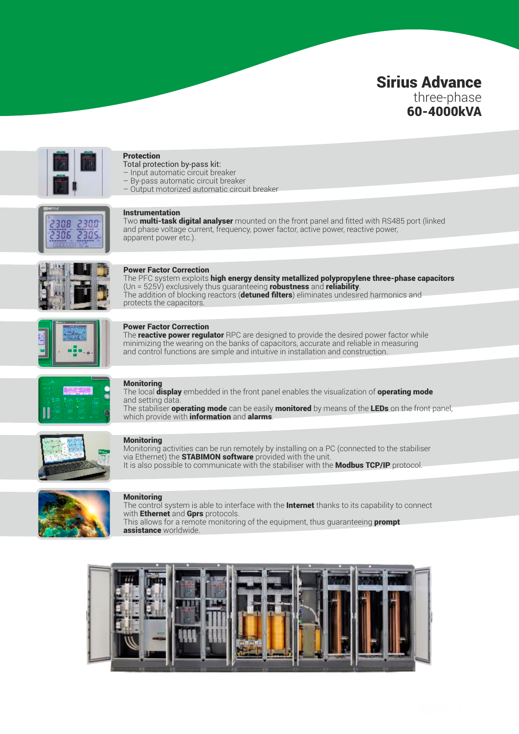## Sirius Advance three-phase 60-4000kVA



#### Protection

- Total protection by-pass kit:
- Input automatic circuit breaker
- By-pass automatic circuit breaker – Output motorized automatic circuit breaker
- 308 2300 2305 306

#### Instrumentation

Two **multi-task digital analyser** mounted on the front panel and fitted with RS485 port (linked and phase voltage current, frequency, power factor, active power, reactive power, apparent power etc.).



#### Power Factor Correction

The PFC system exploits high energy density metallized polypropylene three-phase capacitors (Un =  $525\acute{v}$ ) exclusively thus guaranteeing robustness and reliability. The addition of blocking reactors (**detuned filters**) eliminates undesired harmonics and protects the capacitors.



#### Power Factor Correction

The **reactive power regulator** RPC are designed to provide the desired power factor while minimizing the wearing on the banks of capacitors, accurate and reliable in measuring and control functions are simple and intuitive in installation and construction.



#### **Monitoring**

The local display embedded in the front panel enables the visualization of operating mode and setting data.

The stabiliser **operating mode** can be easily **monitored** by means of the **LEDs** on the front panel, which provide with **information** and **alarms**.



#### **Monitoring**

Monitoring activities can be run remotely by installing on a PC (connected to the stabiliser via Ethernet) the STABIMON software provided with the unit. It is also possible to communicate with the stabiliser with the **Modbus TCP/IP** protocol.



#### **Monitoring**

The control system is able to interface with the **Internet** thanks to its capability to connect with **Ethernet** and **Gprs** protocols. This allows for a remote monitoring of the equipment, thus guaranteeing **prompt** 

assistance worldwide.

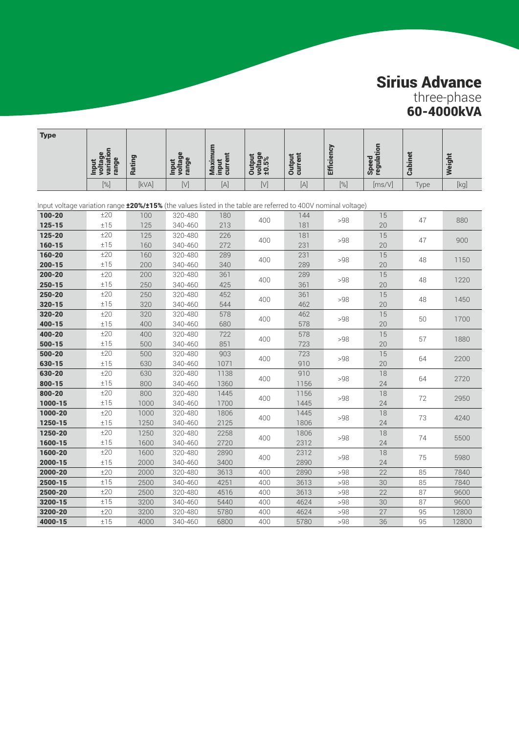## Sirius Advance

three-phase 60-4000kVA

| <b>Type</b>                                                                                                          |                                               |              |                                  |                             |                            |                          |                   |                     |         |        |
|----------------------------------------------------------------------------------------------------------------------|-----------------------------------------------|--------------|----------------------------------|-----------------------------|----------------------------|--------------------------|-------------------|---------------------|---------|--------|
|                                                                                                                      | voltage<br>variation<br>range<br><b>Input</b> | Rating       | voltage<br>range<br><b>Input</b> | Maximum<br>input<br>current | voltage<br>±0.5%<br>Output | <b>Output</b><br>current | <b>Efficiency</b> | Speed<br>regulation | Cabinet | Weight |
|                                                                                                                      | [%]                                           | [kVA]        | $[V]$                            | $[A]$                       | $[V]$                      | $[A]$                    | $[\%]$            | $\sqrt{ms/V}$       | Type    | [kq]   |
| Input voltage variation range <b>±20%/±15%</b> (the values listed in the table are referred to 400V nominal voltage) |                                               |              |                                  |                             |                            |                          |                   |                     |         |        |
| $100 - 20$                                                                                                           | ±20                                           | 100          | 320-480                          | 180                         |                            | 144                      |                   | 15                  |         |        |
| $125 - 15$                                                                                                           | ±15                                           | 125          | 340-460                          | 213                         | 400                        | 181                      | >98               | 20                  | 47      | 880    |
| 125-20                                                                                                               | ±20                                           | 125          | 320-480                          | 226                         | 400                        | 181                      | >98               | 15                  | 47      | 900    |
| $160 - 15$                                                                                                           | ±15                                           | 160          | 340-460                          | 272                         |                            | 231                      |                   | 20                  |         |        |
| 160-20                                                                                                               | ±20                                           | 160          | 320-480                          | 289                         | 400                        | 231                      | >98               | 15                  | 48      | 1150   |
| $200 - 15$                                                                                                           | ±15                                           | 200          | 340-460                          | 340                         |                            | 289                      |                   | 20                  |         |        |
| $200 - 20$                                                                                                           | ±20                                           | 200          | 320-480                          | 361                         | 400                        | 289                      | >98               | 15                  | 48      | 1220   |
| $250 - 15$                                                                                                           | ±15                                           | 250          | 340-460                          | 425                         |                            | 361                      |                   | 20                  |         |        |
| 250-20                                                                                                               | ±20                                           | 250          | 320-480                          | 452                         | 400                        | 361                      | >98               | 15                  | 48      | 1450   |
| $320 - 15$<br>320-20                                                                                                 | ±15<br>±20                                    | 320<br>320   | 340-460<br>320-480               | 544<br>578                  |                            | 462                      |                   | 20<br>15            |         |        |
| 400-15                                                                                                               | ±15                                           | 400          | 340-460                          | 680                         | 400                        | 462<br>578               | >98               | 20                  | 50      | 1700   |
| 400-20                                                                                                               | ±20                                           | 400          | 320-480                          | 722                         |                            | 578                      |                   | 15                  |         |        |
| $500 - 15$                                                                                                           | ±15                                           | 500          | 340-460                          | 851                         | 400                        | 723                      | >98               | 20                  | 57      | 1880   |
| 500-20                                                                                                               | ±20                                           | 500          | 320-480                          | 903                         |                            | 723                      |                   | 15                  |         |        |
| 630-15                                                                                                               | ±15                                           | 630          | 340-460                          | 1071                        | 400                        | 910                      | >98               | 20                  | 64      | 2200   |
| 630-20                                                                                                               | ±20                                           | 630          | 320-480                          | 1138                        | 400                        | 910                      | >98               | 18                  | 64      | 2720   |
| 800-15                                                                                                               | ±15                                           | 800          | 340-460                          | 1360                        |                            | 1156                     |                   | 24                  |         |        |
| 800-20                                                                                                               | ±20                                           | 800          | 320-480                          | 1445                        | 400                        | 1156                     | >98               | 18                  | 72      | 2950   |
| 1000-15                                                                                                              | ±15                                           | 1000         | 340-460                          | 1700                        |                            | 1445                     |                   | 24                  |         |        |
| 1000-20                                                                                                              | ±20                                           | 1000         | 320-480                          | 1806                        | 400                        | 1445                     | >98               | 18                  | 73      | 4240   |
| 1250-15                                                                                                              | ±15                                           | 1250         | 340-460                          | 2125                        |                            | 1806                     |                   | 24                  |         |        |
| 1250-20                                                                                                              | ±20                                           | 1250         | 320-480                          | 2258                        | 400                        | 1806                     | >98               | 18                  | 74      | 5500   |
| 1600-15<br>1600-20                                                                                                   | ±15<br>±20                                    | 1600         | 340-460                          | 2720                        |                            | 2312                     |                   | 24                  |         |        |
| 2000-15                                                                                                              | ±15                                           | 1600<br>2000 | 320-480<br>340-460               | 2890<br>3400                | 400                        | 2312<br>2890             | >98               | 18<br>24            | 75      | 5980   |
| 2000-20                                                                                                              | ±20                                           | 2000         | 320-480                          | 3613                        | 400                        | 2890                     | >98               | 22                  | 85      | 7840   |
| 2500-15                                                                                                              | ±15                                           | 2500         | 340-460                          | 4251                        | 400                        | 3613                     | >98               | 30                  | 85      | 7840   |
| 2500-20                                                                                                              | ±20                                           | 2500         | 320-480                          | 4516                        | 400                        | 3613                     | >98               | 22                  | 87      | 9600   |
| 3200-15                                                                                                              | ±15                                           | 3200         | 340-460                          | 5440                        | 400                        | 4624                     | >98               | 30                  | 87      | 9600   |
| 3200-20                                                                                                              | ±20                                           | 3200         | 320-480                          | 5780                        | 400                        | 4624                     | >98               | 27                  | 95      | 12800  |
| 4000-15                                                                                                              | ±15                                           | 4000         | 340-460                          | 6800                        | 400                        | 5780                     | >98               | 36                  | 95      | 12800  |
|                                                                                                                      |                                               |              |                                  |                             |                            |                          |                   |                     |         |        |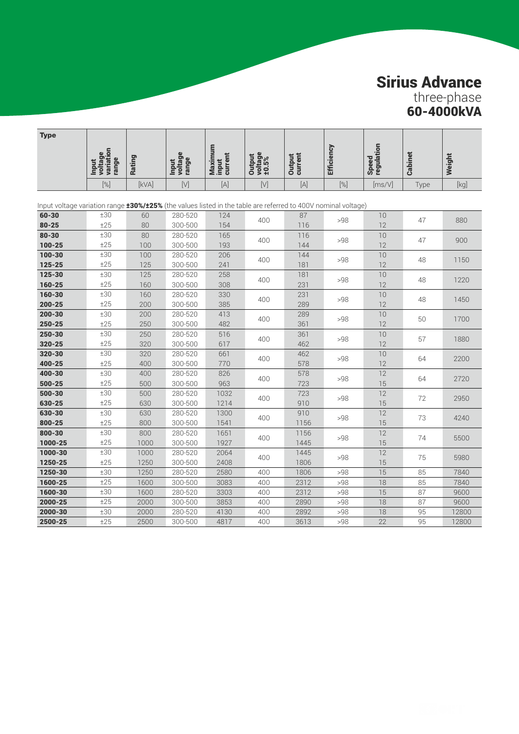## Sirius Advance

three-phase 60-4000kVA

| <b>Type</b>                                                                                                         |                                        |            |                           |                             |                            |                   |                   |                     |         |        |
|---------------------------------------------------------------------------------------------------------------------|----------------------------------------|------------|---------------------------|-----------------------------|----------------------------|-------------------|-------------------|---------------------|---------|--------|
|                                                                                                                     | voltage<br>variation<br>range<br>Input | Rating     | Input<br>voltage<br>range | Maximum<br>input<br>current | voltage<br>±0.5%<br>Output | Output<br>current | <b>Efficiency</b> | Speed<br>regulation | Cabinet | Weight |
|                                                                                                                     | $[\%]$                                 | [kVA]      | $[ \vee]$                 | $[{\mathsf A}]$             | $[ \vee ]$                 | $[{\mathsf A}]$   | $[\%]$            | [ms/V]              | Type    | [kg]   |
| Input voltage variation range $\pm 30\%/25\%$ (the values listed in the table are referred to 400V nominal voltage) |                                        |            |                           |                             |                            |                   |                   |                     |         |        |
| 60-30                                                                                                               | ±30                                    | 60         | 280-520                   | 124                         |                            | 87                |                   | 10                  |         |        |
| $80 - 25$                                                                                                           | ±25                                    | 80         | 300-500                   | 154                         | 400                        | 116               | >98               | 12                  | 47      | 880    |
| $80 - 30$                                                                                                           | ±30                                    | 80         | 280-520                   | 165                         | 400                        | 116               | >98               | 10                  | 47      | 900    |
| $100 - 25$                                                                                                          | ±25                                    | 100        | 300-500                   | 193                         |                            | 144               |                   | 12                  |         |        |
| 100-30                                                                                                              | ±30                                    | 100        | 280-520                   | 206                         | 400                        | 144               | >98               | 10                  | 48      | 1150   |
| 125-25                                                                                                              | ±25                                    | 125        | 300-500                   | 241                         |                            | 181               |                   | 12                  |         |        |
| 125-30                                                                                                              | ±30                                    | 125        | 280-520                   | 258                         | 400                        | 181               | >98               | 10                  | 48      | 1220   |
| 160-25                                                                                                              | ±25                                    | 160        | 300-500                   | 308                         |                            | 231               |                   | 12                  |         |        |
| 160-30                                                                                                              | ±30                                    | 160        | 280-520                   | 330                         | 400                        | 231               | >98               | 10                  | 48      | 1450   |
| $200 - 25$                                                                                                          | ±25                                    | 200        | 300-500                   | 385                         |                            | 289               |                   | 12                  |         |        |
| $200 - 30$                                                                                                          | ±30                                    | 200        | 280-520                   | 413                         | 400                        | 289               | >98               | 10                  | 50      | 1700   |
| 250-25                                                                                                              | ±25                                    | 250        | 300-500                   | 482                         |                            | 361               |                   | 12                  |         |        |
| 250-30                                                                                                              | ±30                                    | 250        | 280-520                   | 516                         | 400                        | 361               | >98               | 10                  | 57      | 1880   |
| 320-25                                                                                                              | ±25                                    | 320        | 300-500                   | 617                         |                            | 462               |                   | 12                  |         |        |
| 320-30                                                                                                              | ±30                                    | 320        | 280-520                   | 661                         | 400                        | 462               | >98               | 10                  | 64      | 2200   |
| 400-25<br>400-30                                                                                                    | ±25<br>±30                             | 400<br>400 | 300-500<br>280-520        | 770<br>826                  |                            | 578               |                   | 12<br>12            |         |        |
| $500 - 25$                                                                                                          | ±25                                    | 500        | 300-500                   | 963                         | 400                        | 578<br>723        | >98               | 15                  | 64      | 2720   |
| 500-30                                                                                                              | ±30                                    | 500        | 280-520                   | 1032                        |                            | 723               |                   | 12                  |         |        |
| 630-25                                                                                                              | ±25                                    | 630        | 300-500                   | 1214                        | 400                        | 910               | >98               | 15                  | 72      | 2950   |
| 630-30                                                                                                              | ±30                                    | 630        | 280-520                   | 1300                        |                            | 910               |                   | 12                  |         |        |
| 800-25                                                                                                              | ±25                                    | 800        | 300-500                   | 1541                        | 400                        | 1156              | >98               | 15                  | 73      | 4240   |
| 800-30                                                                                                              | ±30                                    | 800        | 280-520                   | 1651                        |                            | 1156              |                   | 12                  |         |        |
| 1000-25                                                                                                             | ±25                                    | 1000       | 300-500                   | 1927                        | 400                        | 1445              | >98               | 15                  | 74      | 5500   |
| 1000-30                                                                                                             | ±30                                    | 1000       | 280-520                   | 2064                        |                            | 1445              |                   | 12                  |         |        |
| 1250-25                                                                                                             | ±25                                    | 1250       | 300-500                   | 2408                        | 400                        | 1806              | >98               | 15                  | 75      | 5980   |
| 1250-30                                                                                                             | ±30                                    | 1250       | 280-520                   | 2580                        | 400                        | 1806              | >98               | 15                  | 85      | 7840   |
| 1600-25                                                                                                             | ±25                                    | 1600       | 300-500                   | 3083                        | 400                        | 2312              | >98               | 18                  | 85      | 7840   |
| 1600-30                                                                                                             | ±30                                    | 1600       | 280-520                   | 3303                        | 400                        | 2312              | >98               | 15                  | 87      | 9600   |
| 2000-25                                                                                                             | ±25                                    | 2000       | 300-500                   | 3853                        | 400                        | 2890              | >98               | 18                  | 87      | 9600   |
| 2000-30                                                                                                             | ±30                                    | 2000       | 280-520                   | 4130                        | 400                        | 2892              | >98               | 18                  | 95      | 12800  |
| 2500-25                                                                                                             | ±25                                    | 2500       | 300-500                   | 4817                        | 400                        | 3613              | >98               | 22                  | 95      | 12800  |